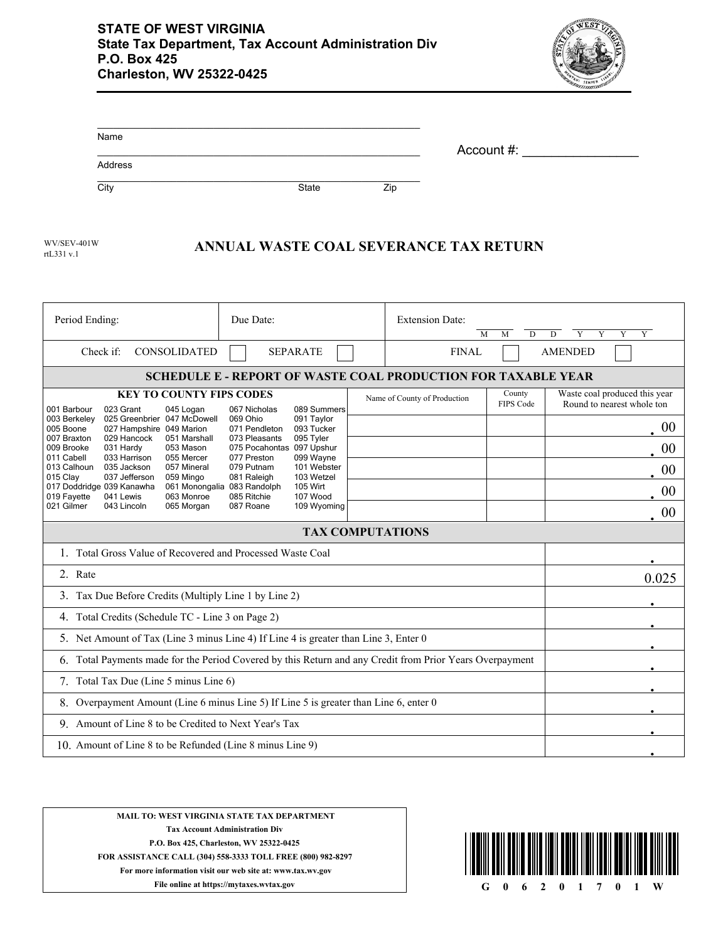

| Name    |       |     | Account #: |
|---------|-------|-----|------------|
| Address |       |     |            |
| City    | State | Zip |            |

rtL331 v.1 WV/SEV-401W

## **ANNUAL WASTE COAL SEVERANCE TAX RETURN**

| Period Ending:                                                                                                                                                                                                                                                                                                                                                                                                                                                                                                                                                                                                                                                                                                                                                                                                      | Due Date:       |  | <b>Extension Date:</b><br>M  | D<br>M                     | $\overline{Y}$<br>Y<br>Y<br>D<br>Y                          |
|---------------------------------------------------------------------------------------------------------------------------------------------------------------------------------------------------------------------------------------------------------------------------------------------------------------------------------------------------------------------------------------------------------------------------------------------------------------------------------------------------------------------------------------------------------------------------------------------------------------------------------------------------------------------------------------------------------------------------------------------------------------------------------------------------------------------|-----------------|--|------------------------------|----------------------------|-------------------------------------------------------------|
| Check if:<br><b>CONSOLIDATED</b>                                                                                                                                                                                                                                                                                                                                                                                                                                                                                                                                                                                                                                                                                                                                                                                    | <b>SEPARATE</b> |  | <b>FINAL</b>                 |                            | <b>AMENDED</b>                                              |
| <b>SCHEDULE E - REPORT OF WASTE COAL PRODUCTION FOR TAXABLE YEAR</b>                                                                                                                                                                                                                                                                                                                                                                                                                                                                                                                                                                                                                                                                                                                                                |                 |  |                              |                            |                                                             |
| <b>KEY TO COUNTY FIPS CODES</b>                                                                                                                                                                                                                                                                                                                                                                                                                                                                                                                                                                                                                                                                                                                                                                                     |                 |  | Name of County of Production | County<br><b>FIPS Code</b> | Waste coal produced this year<br>Round to nearest whole ton |
| 001 Barbour<br>023 Grant<br>045 Logan<br>067 Nicholas<br>089 Summers<br>025 Greenbrier 047 McDowell<br>003 Berkeley<br>069 Ohio<br>091 Taylor<br>071 Pendleton<br>005 Boone<br>027 Hampshire 049 Marion<br>093 Tucker<br>007 Braxton<br>029 Hancock<br>051 Marshall<br>073 Pleasants<br>095 Tyler<br>009 Brooke<br>031 Hardy<br>053 Mason<br>075 Pocahontas 097 Upshur<br>033 Harrison<br>055 Mercer<br>077 Preston<br>099 Wayne<br>011 Cabell<br>013 Calhoun<br>079 Putnam<br>035 Jackson<br>057 Mineral<br>101 Webster<br>015 Clay<br>037 Jefferson<br>103 Wetzel<br>059 Mingo<br>081 Raleigh<br>017 Doddridge 039 Kanawha<br>105 Wirt<br>061 Monongalia 083 Randolph<br>019 Fayette<br>041 Lewis<br>063 Monroe<br>085 Ritchie<br>107 Wood<br>021 Gilmer<br>065 Morgan<br>087 Roane<br>109 Wyoming<br>043 Lincoln |                 |  |                              | 00                         |                                                             |
|                                                                                                                                                                                                                                                                                                                                                                                                                                                                                                                                                                                                                                                                                                                                                                                                                     |                 |  |                              |                            | 00                                                          |
|                                                                                                                                                                                                                                                                                                                                                                                                                                                                                                                                                                                                                                                                                                                                                                                                                     |                 |  |                              |                            | 00                                                          |
|                                                                                                                                                                                                                                                                                                                                                                                                                                                                                                                                                                                                                                                                                                                                                                                                                     |                 |  |                              |                            | 00                                                          |
|                                                                                                                                                                                                                                                                                                                                                                                                                                                                                                                                                                                                                                                                                                                                                                                                                     |                 |  |                              |                            | 00                                                          |
| <b>TAX COMPUTATIONS</b>                                                                                                                                                                                                                                                                                                                                                                                                                                                                                                                                                                                                                                                                                                                                                                                             |                 |  |                              |                            |                                                             |
| 1. Total Gross Value of Recovered and Processed Waste Coal                                                                                                                                                                                                                                                                                                                                                                                                                                                                                                                                                                                                                                                                                                                                                          |                 |  |                              |                            |                                                             |
| 2. Rate                                                                                                                                                                                                                                                                                                                                                                                                                                                                                                                                                                                                                                                                                                                                                                                                             |                 |  | 0.025                        |                            |                                                             |
| 3. Tax Due Before Credits (Multiply Line 1 by Line 2)                                                                                                                                                                                                                                                                                                                                                                                                                                                                                                                                                                                                                                                                                                                                                               |                 |  |                              |                            |                                                             |
| 4. Total Credits (Schedule TC - Line 3 on Page 2)                                                                                                                                                                                                                                                                                                                                                                                                                                                                                                                                                                                                                                                                                                                                                                   |                 |  |                              |                            |                                                             |
| 5. Net Amount of Tax (Line 3 minus Line 4) If Line 4 is greater than Line 3, Enter 0                                                                                                                                                                                                                                                                                                                                                                                                                                                                                                                                                                                                                                                                                                                                |                 |  |                              |                            |                                                             |
| Total Payments made for the Period Covered by this Return and any Credit from Prior Years Overpayment<br>6.                                                                                                                                                                                                                                                                                                                                                                                                                                                                                                                                                                                                                                                                                                         |                 |  |                              |                            |                                                             |
| 7. Total Tax Due (Line 5 minus Line 6)                                                                                                                                                                                                                                                                                                                                                                                                                                                                                                                                                                                                                                                                                                                                                                              |                 |  |                              |                            |                                                             |
| Overpayment Amount (Line 6 minus Line 5) If Line 5 is greater than Line 6, enter 0<br>8.                                                                                                                                                                                                                                                                                                                                                                                                                                                                                                                                                                                                                                                                                                                            |                 |  |                              |                            |                                                             |
| 9. Amount of Line 8 to be Credited to Next Year's Tax                                                                                                                                                                                                                                                                                                                                                                                                                                                                                                                                                                                                                                                                                                                                                               |                 |  |                              |                            |                                                             |
| 10. Amount of Line 8 to be Refunded (Line 8 minus Line 9)                                                                                                                                                                                                                                                                                                                                                                                                                                                                                                                                                                                                                                                                                                                                                           |                 |  |                              |                            |                                                             |
|                                                                                                                                                                                                                                                                                                                                                                                                                                                                                                                                                                                                                                                                                                                                                                                                                     |                 |  |                              |                            |                                                             |

## **MAIL TO: WEST VIRGINIA STATE TAX DEPARTMENT Tax Account Administration Div P.O. Box 425, Charleston, WV 25322-0425 FOR ASSISTANCE CALL (304) 558-3333 TOLL FREE (800) 982-8297**

**For more information visit our web site at: www.tax.wv.gov**